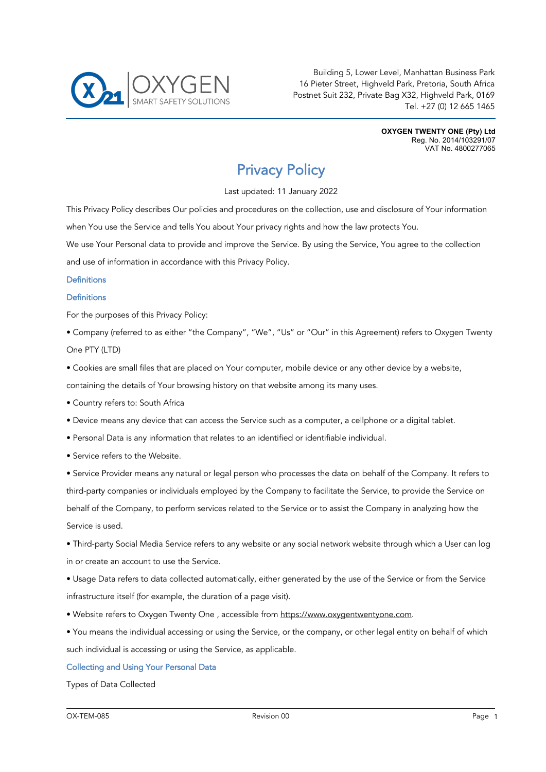

Building 5, Lower Level, Manhattan Business Park 16 Pieter Street, Highveld Park, Pretoria, South Africa Postnet Suit 232, Private Bag X32, Highveld Park, 0169 Tel. +27 (0) 12 665 1465

> **OXYGEN TWENTY ONE (Pty) Ltd** Reg. No. 2014/103291/07 VAT No. 4800277065

# Privacy Policy

Last updated: 11 January 2022

This Privacy Policy describes Our policies and procedures on the collection, use and disclosure of Your information when You use the Service and tells You about Your privacy rights and how the law protects You.

We use Your Personal data to provide and improve the Service. By using the Service, You agree to the collection and use of information in accordance with this Privacy Policy.

## Definitions

## Definitions

For the purposes of this Privacy Policy:

• Company (referred to as either "the Company", "We", "Us" or "Our" in this Agreement) refers to Oxygen Twenty One PTY (LTD)

• Cookies are small files that are placed on Your computer, mobile device or any other device by a website,

containing the details of Your browsing history on that website among its many uses.

- Country refers to: South Africa
- Device means any device that can access the Service such as a computer, a cellphone or a digital tablet.
- Personal Data is any information that relates to an identified or identifiable individual.
- Service refers to the Website.

• Service Provider means any natural or legal person who processes the data on behalf of the Company. It refers to third-party companies or individuals employed by the Company to facilitate the Service, to provide the Service on behalf of the Company, to perform services related to the Service or to assist the Company in analyzing how the Service is used.

• Third-party Social Media Service refers to any website or any social network website through which a User can log in or create an account to use the Service.

• Usage Data refers to data collected automatically, either generated by the use of the Service or from the Service infrastructure itself (for example, the duration of a page visit).

• Website refers to Oxygen Twenty One , accessible from https://www.oxygentwentyone.com.

• You means the individual accessing or using the Service, or the company, or other legal entity on behalf of which such individual is accessing or using the Service, as applicable.

## Collecting and Using Your Personal Data

Types of Data Collected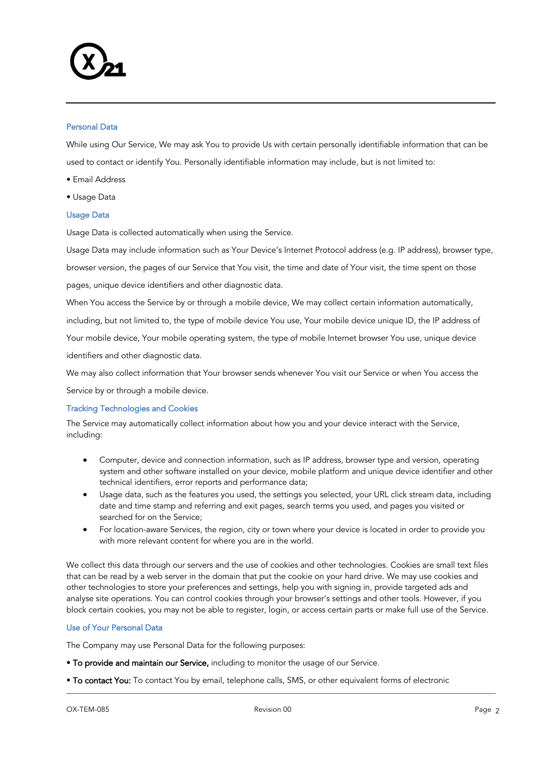

### Personal Data

While using Our Service, We may ask You to provide Us with certain personally identifiable information that can be used to contact or identify You. Personally identifiable information may include, but is not limited to:

- Email Address
- Usage Data

### Usage Data

Usage Data is collected automatically when using the Service.

Usage Data may include information such as Your Device's Internet Protocol address (e.g. IP address), browser type,

browser version, the pages of our Service that You visit, the time and date of Your visit, the time spent on those

pages, unique device identifiers and other diagnostic data.

When You access the Service by or through a mobile device, We may collect certain information automatically,

including, but not limited to, the type of mobile device You use, Your mobile device unique ID, the IP address of

Your mobile device, Your mobile operating system, the type of mobile Internet browser You use, unique device identifiers and other diagnostic data.

We may also collect information that Your browser sends whenever You visit our Service or when You access the Service by or through a mobile device.

## Tracking Technologies and Cookies

The Service may automatically collect information about how you and your device interact with the Service, including:

- Computer, device and connection information, such as IP address, browser type and version, operating system and other software installed on your device, mobile platform and unique device identifier and other technical identifiers, error reports and performance data;
- Usage data, such as the features you used, the settings you selected, your URL click stream data, including date and time stamp and referring and exit pages, search terms you used, and pages you visited or searched for on the Service;
- For location-aware Services, the region, city or town where your device is located in order to provide you with more relevant content for where you are in the world.

We collect this data through our servers and the use of cookies and other technologies. Cookies are small text files that can be read by a web server in the domain that put the cookie on your hard drive. We may use cookies and other technologies to store your preferences and settings, help you with signing in, provide targeted ads and analyse site operations. You can control cookies through your browser's settings and other tools. However, if you block certain cookies, you may not be able to register, login, or access certain parts or make full use of the Service.

#### Use of Your Personal Data

The Company may use Personal Data for the following purposes:

- To provide and maintain our Service, including to monitor the usage of our Service.
- To contact You: To contact You by email, telephone calls, SMS, or other equivalent forms of electronic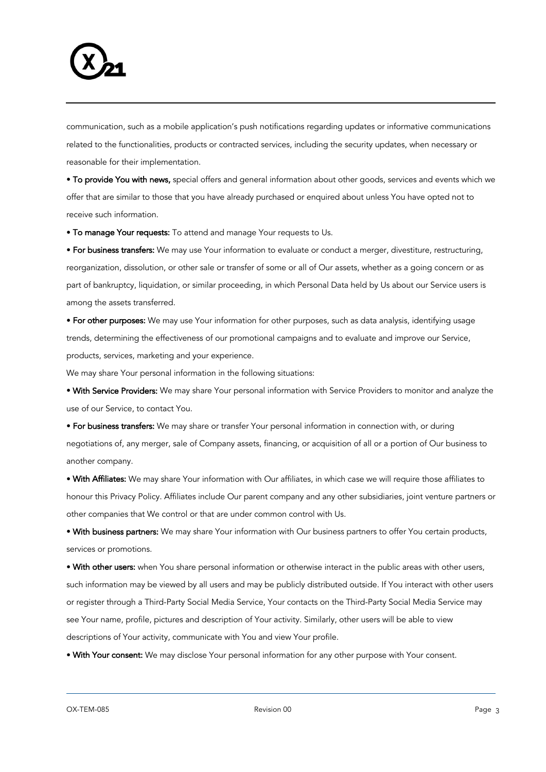

communication, such as a mobile application's push notifications regarding updates or informative communications related to the functionalities, products or contracted services, including the security updates, when necessary or reasonable for their implementation.

• To provide You with news, special offers and general information about other goods, services and events which we offer that are similar to those that you have already purchased or enquired about unless You have opted not to receive such information.

• To manage Your requests: To attend and manage Your requests to Us.

• For business transfers: We may use Your information to evaluate or conduct a merger, divestiture, restructuring, reorganization, dissolution, or other sale or transfer of some or all of Our assets, whether as a going concern or as part of bankruptcy, liquidation, or similar proceeding, in which Personal Data held by Us about our Service users is among the assets transferred.

• For other purposes: We may use Your information for other purposes, such as data analysis, identifying usage trends, determining the effectiveness of our promotional campaigns and to evaluate and improve our Service, products, services, marketing and your experience.

We may share Your personal information in the following situations:

• With Service Providers: We may share Your personal information with Service Providers to monitor and analyze the use of our Service, to contact You.

• For business transfers: We may share or transfer Your personal information in connection with, or during negotiations of, any merger, sale of Company assets, financing, or acquisition of all or a portion of Our business to another company.

• With Affiliates: We may share Your information with Our affiliates, in which case we will require those affiliates to honour this Privacy Policy. Affiliates include Our parent company and any other subsidiaries, joint venture partners or other companies that We control or that are under common control with Us.

• With business partners: We may share Your information with Our business partners to offer You certain products, services or promotions.

• With other users: when You share personal information or otherwise interact in the public areas with other users, such information may be viewed by all users and may be publicly distributed outside. If You interact with other users or register through a Third-Party Social Media Service, Your contacts on the Third-Party Social Media Service may see Your name, profile, pictures and description of Your activity. Similarly, other users will be able to view descriptions of Your activity, communicate with You and view Your profile.

• With Your consent: We may disclose Your personal information for any other purpose with Your consent.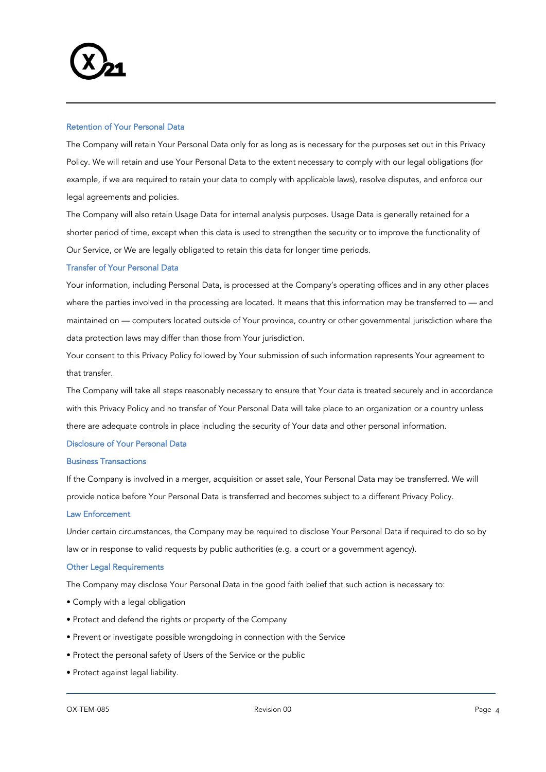

## Retention of Your Personal Data

The Company will retain Your Personal Data only for as long as is necessary for the purposes set out in this Privacy Policy. We will retain and use Your Personal Data to the extent necessary to comply with our legal obligations (for example, if we are required to retain your data to comply with applicable laws), resolve disputes, and enforce our legal agreements and policies.

The Company will also retain Usage Data for internal analysis purposes. Usage Data is generally retained for a shorter period of time, except when this data is used to strengthen the security or to improve the functionality of Our Service, or We are legally obligated to retain this data for longer time periods.

#### Transfer of Your Personal Data

Your information, including Personal Data, is processed at the Company's operating offices and in any other places where the parties involved in the processing are located. It means that this information may be transferred to — and maintained on — computers located outside of Your province, country or other governmental jurisdiction where the data protection laws may differ than those from Your jurisdiction.

Your consent to this Privacy Policy followed by Your submission of such information represents Your agreement to that transfer.

The Company will take all steps reasonably necessary to ensure that Your data is treated securely and in accordance with this Privacy Policy and no transfer of Your Personal Data will take place to an organization or a country unless there are adequate controls in place including the security of Your data and other personal information.

#### Disclosure of Your Personal Data

#### Business Transactions

If the Company is involved in a merger, acquisition or asset sale, Your Personal Data may be transferred. We will provide notice before Your Personal Data is transferred and becomes subject to a different Privacy Policy.

#### Law Enforcement

Under certain circumstances, the Company may be required to disclose Your Personal Data if required to do so by law or in response to valid requests by public authorities (e.g. a court or a government agency).

## Other Legal Requirements

The Company may disclose Your Personal Data in the good faith belief that such action is necessary to:

- Comply with a legal obligation
- Protect and defend the rights or property of the Company
- Prevent or investigate possible wrongdoing in connection with the Service
- Protect the personal safety of Users of the Service or the public
- Protect against legal liability.